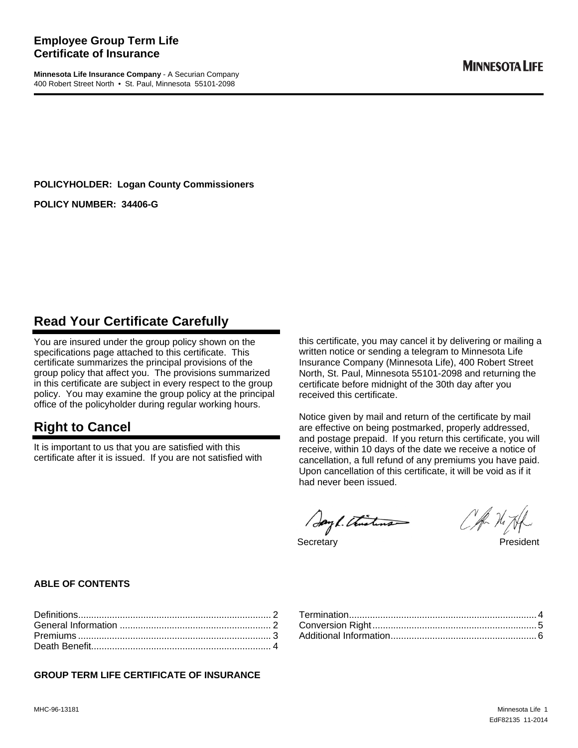#### **Employee Group Term Life Certificate of Insurance**

**Minnesota Life Insurance Company** - A Securian Company 400 Robert Street North • St. Paul, Minnesota 55101-2098

**POLICYHOLDER: Logan County Commissioners** 

**POLICY NUMBER: 34406-G** 

# **Read Your Certificate Carefully**

You are insured under the group policy shown on the specifications page attached to this certificate. This certificate summarizes the principal provisions of the group policy that affect you. The provisions summarized in this certificate are subject in every respect to the group policy. You may examine the group policy at the principal office of the policyholder during regular working hours.

# **Right to Cancel**

It is important to us that you are satisfied with this certificate after it is issued. If you are not satisfied with this certificate, you may cancel it by delivering or mailing a written notice or sending a telegram to Minnesota Life Insurance Company (Minnesota Life), 400 Robert Street North, St. Paul, Minnesota 55101-2098 and returning the certificate before midnight of the 30th day after you received this certificate.

Notice given by mail and return of the certificate by mail are effective on being postmarked, properly addressed, and postage prepaid. If you return this certificate, you will receive, within 10 days of the date we receive a notice of cancellation, a full refund of any premiums you have paid. Upon cancellation of this certificate, it will be void as if it had never been issued.

Sayl. Thisting

CA-NIH

Secretary President

#### **ABLE OF CONTENTS**

#### **GROUP TERM LIFE CERTIFICATE OF INSURANCE**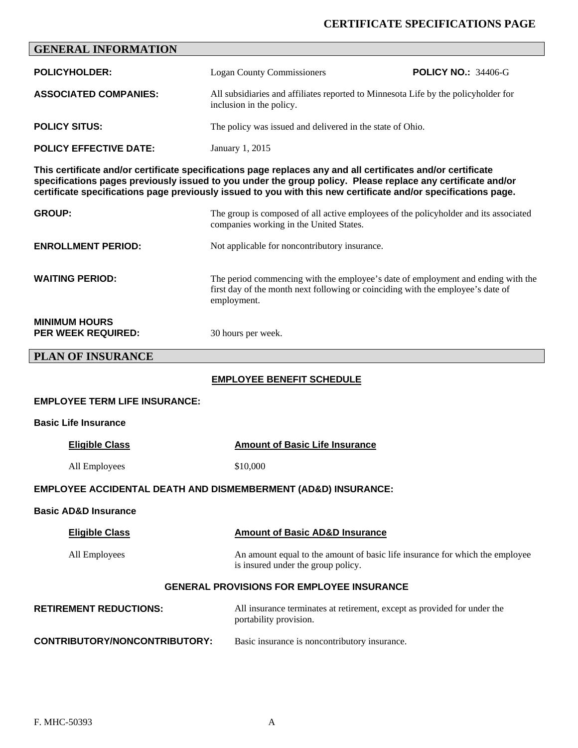#### **CERTIFICATE SPECIFICATIONS PAGE**

# **GENERAL INFORMATION POLICYHOLDER:** Logan County Commissioners **POLICY NO.:** 34406-G **ASSOCIATED COMPANIES:** All subsidiaries and affiliates reported to Minnesota Life by the policyholder for inclusion in the policy. **POLICY SITUS:** The policy was issued and delivered in the state of Ohio. **POLICY EFFECTIVE DATE:** January 1, 2015 **This certificate and/or certificate specifications page replaces any and all certificates and/or certificate specifications pages previously issued to you under the group policy. Please replace any certificate and/or certificate specifications page previously issued to you with this new certificate and/or specifications page. GROUP:** The group is composed of all active employees of the policyholder and its associated companies working in the United States. **ENROLLMENT PERIOD:** Not applicable for noncontributory insurance. **WAITING PERIOD:** The period commencing with the employee's date of employment and ending with the first day of the month next following or coinciding with the employee's date of employment. **MINIMUM HOURS PER WEEK REQUIRED:** 30 hours per week. **PLAN OF INSURANCE EMPLOYEE BENEFIT SCHEDULE EMPLOYEE TERM LIFE INSURANCE: Basic Life Insurance Eligible Class Class Amount of Basic Life Insurance** All Employees  $$10,000$ **EMPLOYEE ACCIDENTAL DEATH AND DISMEMBERMENT (AD&D) INSURANCE: Basic AD&D Insurance Eligible Class Amount of Basic AD&D Insurance**  All Employees An amount equal to the amount of basic life insurance for which the employee is insured under the group policy. **GENERAL PROVISIONS FOR EMPLOYEE INSURANCE**

| <b>RETIREMENT REDUCTIONS:</b> | All insurance terminates at retirement, except as provided for under the<br>portability provision. |
|-------------------------------|----------------------------------------------------------------------------------------------------|
| CONTRIBUTORY/NONCONTRIBUTORY: | Basic insurance is noncontributory insurance.                                                      |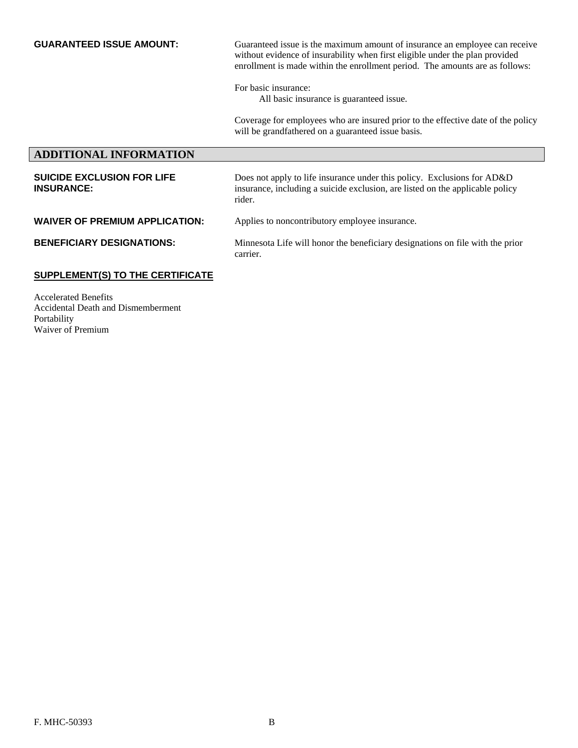**GUARANTEED ISSUE AMOUNT:** Guaranteed issue is the maximum amount of insurance an employee can receive without evidence of insurability when first eligible under the plan provided enrollment is made within the enrollment period. The amounts are as follows:

For basic insurance:

All basic insurance is guaranteed issue.

Coverage for employees who are insured prior to the effective date of the policy will be grandfathered on a guaranteed issue basis.

### **ADDITIONAL INFORMATION SUICIDE EXCLUSION FOR LIFE INSURANCE:**  Does not apply to life insurance under this policy. Exclusions for AD&D insurance, including a suicide exclusion, are listed on the applicable policy rider. **WAIVER OF PREMIUM APPLICATION:** Applies to noncontributory employee insurance. **BENEFICIARY DESIGNATIONS:** Minnesota Life will honor the beneficiary designations on file with the prior carrier. **SUPPLEMENT(S) TO THE CERTIFICATE**

Accelerated Benefits Accidental Death and Dismemberment Portability Waiver of Premium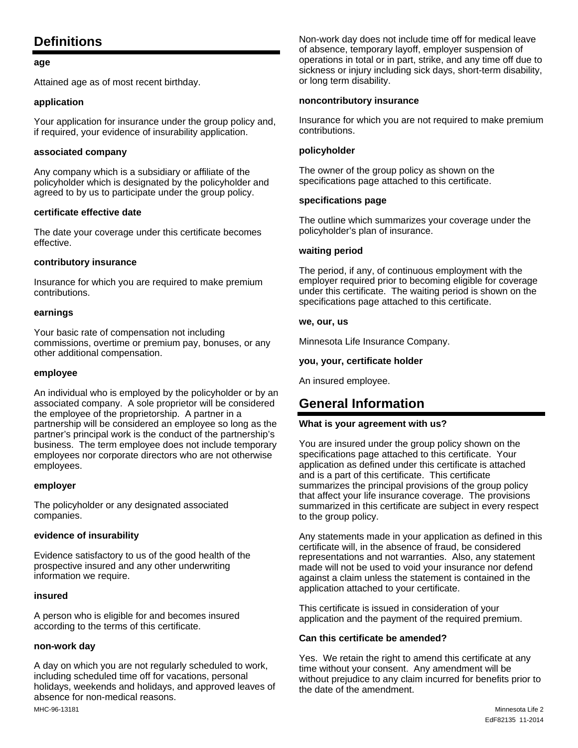# **Definitions**

#### **age**

Attained age as of most recent birthday.

#### **application**

Your application for insurance under the group policy and, if required, your evidence of insurability application.

#### **associated company**

Any company which is a subsidiary or affiliate of the policyholder which is designated by the policyholder and agreed to by us to participate under the group policy.

#### **certificate effective date**

The date your coverage under this certificate becomes effective.

#### **contributory insurance**

Insurance for which you are required to make premium contributions.

#### **earnings**

Your basic rate of compensation not including commissions, overtime or premium pay, bonuses, or any other additional compensation.

#### **employee**

An individual who is employed by the policyholder or by an associated company. A sole proprietor will be considered the employee of the proprietorship. A partner in a partnership will be considered an employee so long as the partner's principal work is the conduct of the partnership's business. The term employee does not include temporary employees nor corporate directors who are not otherwise employees.

#### **employer**

The policyholder or any designated associated companies.

#### **evidence of insurability**

Evidence satisfactory to us of the good health of the prospective insured and any other underwriting information we require.

#### **insured**

A person who is eligible for and becomes insured according to the terms of this certificate.

#### **non-work day**

A day on which you are not regularly scheduled to work, including scheduled time off for vacations, personal holidays, weekends and holidays, and approved leaves of absence for non-medical reasons.

Non-work day does not include time off for medical leave of absence, temporary layoff, employer suspension of operations in total or in part, strike, and any time off due to sickness or injury including sick days, short-term disability, or long term disability.

#### **noncontributory insurance**

Insurance for which you are not required to make premium contributions.

#### **policyholder**

The owner of the group policy as shown on the specifications page attached to this certificate.

#### **specifications page**

The outline which summarizes your coverage under the policyholder's plan of insurance.

#### **waiting period**

The period, if any, of continuous employment with the employer required prior to becoming eligible for coverage under this certificate. The waiting period is shown on the specifications page attached to this certificate.

#### **we, our, us**

Minnesota Life Insurance Company.

#### **you, your, certificate holder**

An insured employee.

# **General Information**

#### **What is your agreement with us?**

You are insured under the group policy shown on the specifications page attached to this certificate. Your application as defined under this certificate is attached and is a part of this certificate. This certificate summarizes the principal provisions of the group policy that affect your life insurance coverage. The provisions summarized in this certificate are subject in every respect to the group policy.

Any statements made in your application as defined in this certificate will, in the absence of fraud, be considered representations and not warranties. Also, any statement made will not be used to void your insurance nor defend against a claim unless the statement is contained in the application attached to your certificate.

This certificate is issued in consideration of your application and the payment of the required premium.

#### **Can this certificate be amended?**

Yes. We retain the right to amend this certificate at any time without your consent. Any amendment will be without prejudice to any claim incurred for benefits prior to the date of the amendment.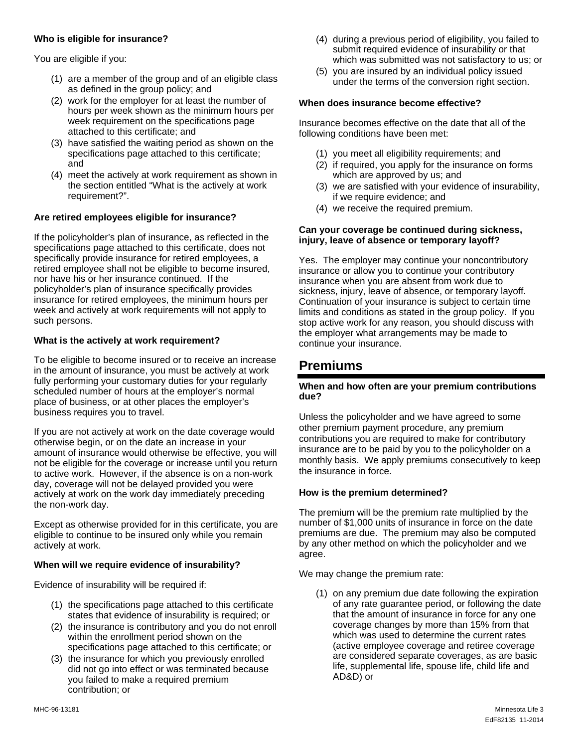#### **Who is eligible for insurance?**

You are eligible if you:

- (1) are a member of the group and of an eligible class as defined in the group policy; and
- (2) work for the employer for at least the number of hours per week shown as the minimum hours per week requirement on the specifications page attached to this certificate; and
- (3) have satisfied the waiting period as shown on the specifications page attached to this certificate; and
- (4) meet the actively at work requirement as shown in the section entitled "What is the actively at work requirement?".

#### **Are retired employees eligible for insurance?**

If the policyholder's plan of insurance, as reflected in the specifications page attached to this certificate, does not specifically provide insurance for retired employees, a retired employee shall not be eligible to become insured, nor have his or her insurance continued. If the policyholder's plan of insurance specifically provides insurance for retired employees, the minimum hours per week and actively at work requirements will not apply to such persons.

#### **What is the actively at work requirement?**

To be eligible to become insured or to receive an increase in the amount of insurance, you must be actively at work fully performing your customary duties for your regularly scheduled number of hours at the employer's normal place of business, or at other places the employer's business requires you to travel.

If you are not actively at work on the date coverage would otherwise begin, or on the date an increase in your amount of insurance would otherwise be effective, you will not be eligible for the coverage or increase until you return to active work. However, if the absence is on a non-work day, coverage will not be delayed provided you were actively at work on the work day immediately preceding the non-work day.

Except as otherwise provided for in this certificate, you are eligible to continue to be insured only while you remain actively at work.

#### **When will we require evidence of insurability?**

Evidence of insurability will be required if:

- (1) the specifications page attached to this certificate states that evidence of insurability is required; or
- (2) the insurance is contributory and you do not enroll within the enrollment period shown on the specifications page attached to this certificate; or
- (3) the insurance for which you previously enrolled did not go into effect or was terminated because you failed to make a required premium contribution; or
- (4) during a previous period of eligibility, you failed to submit required evidence of insurability or that which was submitted was not satisfactory to us; or
- (5) you are insured by an individual policy issued under the terms of the conversion right section.

#### **When does insurance become effective?**

Insurance becomes effective on the date that all of the following conditions have been met:

- (1) you meet all eligibility requirements; and
- (2) if required, you apply for the insurance on forms which are approved by us; and
- (3) we are satisfied with your evidence of insurability, if we require evidence; and
- (4) we receive the required premium.

#### **Can your coverage be continued during sickness, injury, leave of absence or temporary layoff?**

Yes. The employer may continue your noncontributory insurance or allow you to continue your contributory insurance when you are absent from work due to sickness, injury, leave of absence, or temporary layoff. Continuation of your insurance is subject to certain time limits and conditions as stated in the group policy. If you stop active work for any reason, you should discuss with the employer what arrangements may be made to continue your insurance.

# **Premiums**

#### **When and how often are your premium contributions due?**

Unless the policyholder and we have agreed to some other premium payment procedure, any premium contributions you are required to make for contributory insurance are to be paid by you to the policyholder on a monthly basis. We apply premiums consecutively to keep the insurance in force.

#### **How is the premium determined?**

The premium will be the premium rate multiplied by the number of \$1,000 units of insurance in force on the date premiums are due. The premium may also be computed by any other method on which the policyholder and we agree.

We may change the premium rate:

(1) on any premium due date following the expiration of any rate guarantee period, or following the date that the amount of insurance in force for any one coverage changes by more than 15% from that which was used to determine the current rates (active employee coverage and retiree coverage are considered separate coverages, as are basic life, supplemental life, spouse life, child life and AD&D) or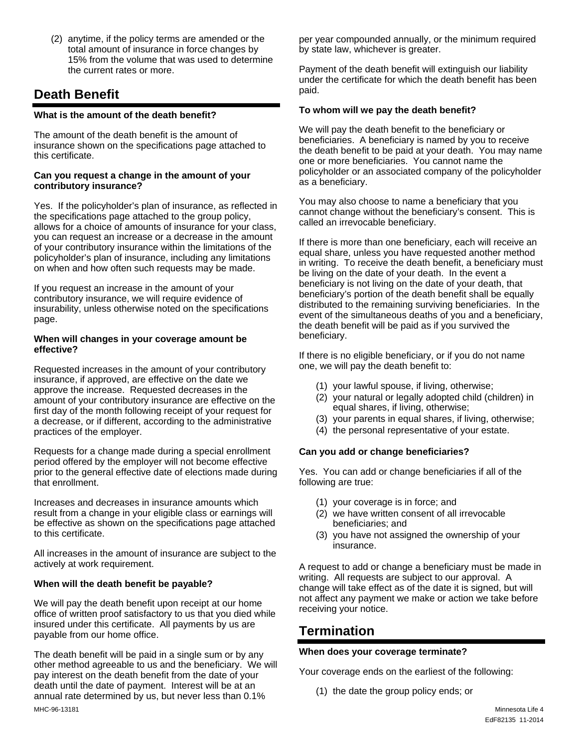(2) anytime, if the policy terms are amended or the total amount of insurance in force changes by 15% from the volume that was used to determine the current rates or more.

# **Death Benefit**

#### **What is the amount of the death benefit?**

The amount of the death benefit is the amount of insurance shown on the specifications page attached to this certificate.

#### **Can you request a change in the amount of your contributory insurance?**

Yes. If the policyholder's plan of insurance, as reflected in the specifications page attached to the group policy, allows for a choice of amounts of insurance for your class, you can request an increase or a decrease in the amount of your contributory insurance within the limitations of the policyholder's plan of insurance, including any limitations on when and how often such requests may be made.

If you request an increase in the amount of your contributory insurance, we will require evidence of insurability, unless otherwise noted on the specifications page.

#### **When will changes in your coverage amount be effective?**

Requested increases in the amount of your contributory insurance, if approved, are effective on the date we approve the increase. Requested decreases in the amount of your contributory insurance are effective on the first day of the month following receipt of your request for a decrease, or if different, according to the administrative practices of the employer.

Requests for a change made during a special enrollment period offered by the employer will not become effective prior to the general effective date of elections made during that enrollment.

Increases and decreases in insurance amounts which result from a change in your eligible class or earnings will be effective as shown on the specifications page attached to this certificate.

All increases in the amount of insurance are subject to the actively at work requirement.

#### **When will the death benefit be payable?**

We will pay the death benefit upon receipt at our home office of written proof satisfactory to us that you died while insured under this certificate. All payments by us are payable from our home office.

The death benefit will be paid in a single sum or by any other method agreeable to us and the beneficiary. We will pay interest on the death benefit from the date of your death until the date of payment. Interest will be at an annual rate determined by us, but never less than 0.1%

per year compounded annually, or the minimum required by state law, whichever is greater.

Payment of the death benefit will extinguish our liability under the certificate for which the death benefit has been paid.

#### **To whom will we pay the death benefit?**

We will pay the death benefit to the beneficiary or beneficiaries. A beneficiary is named by you to receive the death benefit to be paid at your death. You may name one or more beneficiaries. You cannot name the policyholder or an associated company of the policyholder as a beneficiary.

You may also choose to name a beneficiary that you cannot change without the beneficiary's consent. This is called an irrevocable beneficiary.

If there is more than one beneficiary, each will receive an equal share, unless you have requested another method in writing. To receive the death benefit, a beneficiary must be living on the date of your death. In the event a beneficiary is not living on the date of your death, that beneficiary's portion of the death benefit shall be equally distributed to the remaining surviving beneficiaries. In the event of the simultaneous deaths of you and a beneficiary, the death benefit will be paid as if you survived the beneficiary.

If there is no eligible beneficiary, or if you do not name one, we will pay the death benefit to:

- (1) your lawful spouse, if living, otherwise;
- (2) your natural or legally adopted child (children) in equal shares, if living, otherwise;
- (3) your parents in equal shares, if living, otherwise;
- (4) the personal representative of your estate.

#### **Can you add or change beneficiaries?**

Yes. You can add or change beneficiaries if all of the following are true:

- (1) your coverage is in force; and
- (2) we have written consent of all irrevocable beneficiaries; and
- (3) you have not assigned the ownership of your insurance.

A request to add or change a beneficiary must be made in writing. All requests are subject to our approval. A change will take effect as of the date it is signed, but will not affect any payment we make or action we take before receiving your notice.

# **Termination**

#### **When does your coverage terminate?**

Your coverage ends on the earliest of the following:

(1) the date the group policy ends; or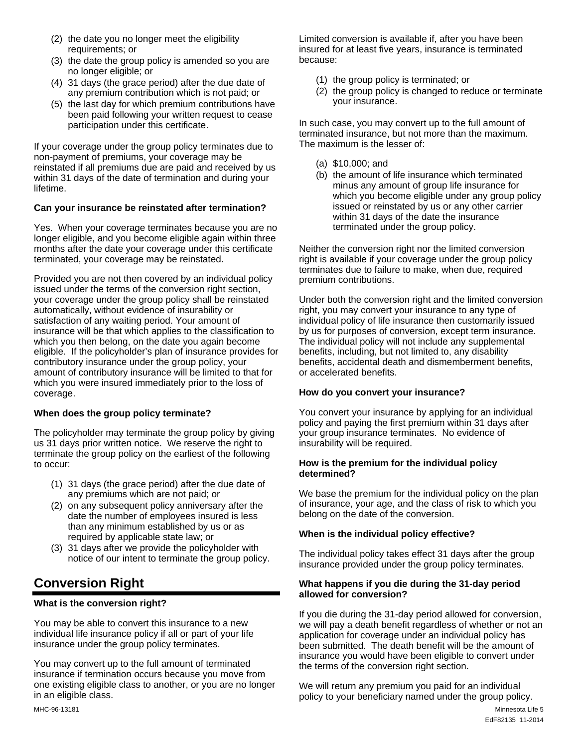- (2) the date you no longer meet the eligibility requirements; or
- (3) the date the group policy is amended so you are no longer eligible; or
- (4) 31 days (the grace period) after the due date of any premium contribution which is not paid; or
- (5) the last day for which premium contributions have been paid following your written request to cease participation under this certificate.

If your coverage under the group policy terminates due to non-payment of premiums, your coverage may be reinstated if all premiums due are paid and received by us within 31 days of the date of termination and during your lifetime.

#### **Can your insurance be reinstated after termination?**

Yes. When your coverage terminates because you are no longer eligible, and you become eligible again within three months after the date your coverage under this certificate terminated, your coverage may be reinstated.

Provided you are not then covered by an individual policy issued under the terms of the conversion right section, your coverage under the group policy shall be reinstated automatically, without evidence of insurability or satisfaction of any waiting period. Your amount of insurance will be that which applies to the classification to which you then belong, on the date you again become eligible. If the policyholder's plan of insurance provides for contributory insurance under the group policy, your amount of contributory insurance will be limited to that for which you were insured immediately prior to the loss of coverage.

#### **When does the group policy terminate?**

The policyholder may terminate the group policy by giving us 31 days prior written notice. We reserve the right to terminate the group policy on the earliest of the following to occur:

- (1) 31 days (the grace period) after the due date of any premiums which are not paid; or
- (2) on any subsequent policy anniversary after the date the number of employees insured is less than any minimum established by us or as required by applicable state law; or
- (3) 31 days after we provide the policyholder with notice of our intent to terminate the group policy.

# **Conversion Right**

#### **What is the conversion right?**

You may be able to convert this insurance to a new individual life insurance policy if all or part of your life insurance under the group policy terminates.

You may convert up to the full amount of terminated insurance if termination occurs because you move from one existing eligible class to another, or you are no longer in an eligible class.

Limited conversion is available if, after you have been insured for at least five years, insurance is terminated because:

- (1) the group policy is terminated; or
- (2) the group policy is changed to reduce or terminate your insurance.

In such case, you may convert up to the full amount of terminated insurance, but not more than the maximum. The maximum is the lesser of:

- (a) \$10,000; and
- (b) the amount of life insurance which terminated minus any amount of group life insurance for which you become eligible under any group policy issued or reinstated by us or any other carrier within 31 days of the date the insurance terminated under the group policy.

Neither the conversion right nor the limited conversion right is available if your coverage under the group policy terminates due to failure to make, when due, required premium contributions.

Under both the conversion right and the limited conversion right, you may convert your insurance to any type of individual policy of life insurance then customarily issued by us for purposes of conversion, except term insurance. The individual policy will not include any supplemental benefits, including, but not limited to, any disability benefits, accidental death and dismemberment benefits, or accelerated benefits.

#### **How do you convert your insurance?**

You convert your insurance by applying for an individual policy and paying the first premium within 31 days after your group insurance terminates. No evidence of insurability will be required.

#### **How is the premium for the individual policy determined?**

We base the premium for the individual policy on the plan of insurance, your age, and the class of risk to which you belong on the date of the conversion.

#### **When is the individual policy effective?**

The individual policy takes effect 31 days after the group insurance provided under the group policy terminates.

#### **What happens if you die during the 31-day period allowed for conversion?**

If you die during the 31-day period allowed for conversion, we will pay a death benefit regardless of whether or not an application for coverage under an individual policy has been submitted. The death benefit will be the amount of insurance you would have been eligible to convert under the terms of the conversion right section.

We will return any premium you paid for an individual policy to your beneficiary named under the group policy.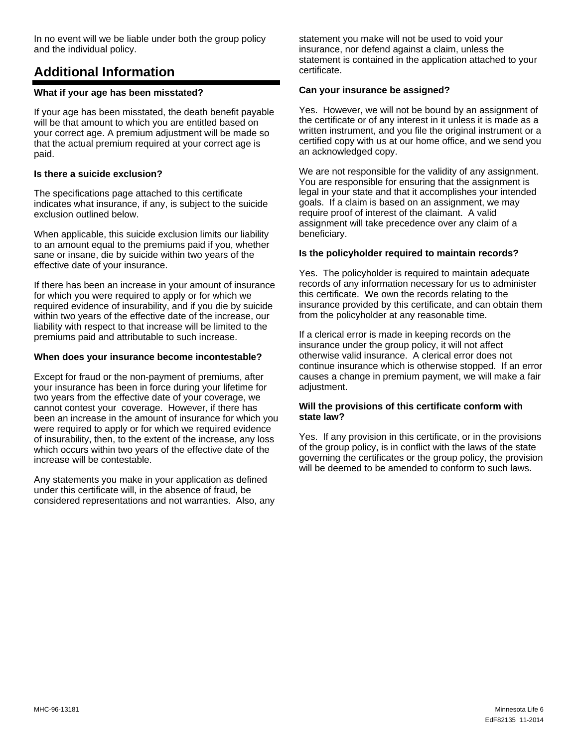In no event will we be liable under both the group policy and the individual policy.

# **Additional Information**

#### **What if your age has been misstated?**

If your age has been misstated, the death benefit payable will be that amount to which you are entitled based on your correct age. A premium adjustment will be made so that the actual premium required at your correct age is paid.

#### **Is there a suicide exclusion?**

The specifications page attached to this certificate indicates what insurance, if any, is subject to the suicide exclusion outlined below.

When applicable, this suicide exclusion limits our liability to an amount equal to the premiums paid if you, whether sane or insane, die by suicide within two years of the effective date of your insurance.

If there has been an increase in your amount of insurance for which you were required to apply or for which we required evidence of insurability, and if you die by suicide within two years of the effective date of the increase, our liability with respect to that increase will be limited to the premiums paid and attributable to such increase.

#### **When does your insurance become incontestable?**

Except for fraud or the non-payment of premiums, after your insurance has been in force during your lifetime for two years from the effective date of your coverage, we cannot contest your coverage. However, if there has been an increase in the amount of insurance for which you were required to apply or for which we required evidence of insurability, then, to the extent of the increase, any loss which occurs within two years of the effective date of the increase will be contestable.

Any statements you make in your application as defined under this certificate will, in the absence of fraud, be considered representations and not warranties. Also, any statement you make will not be used to void your insurance, nor defend against a claim, unless the statement is contained in the application attached to your certificate.

#### **Can your insurance be assigned?**

Yes. However, we will not be bound by an assignment of the certificate or of any interest in it unless it is made as a written instrument, and you file the original instrument or a certified copy with us at our home office, and we send you an acknowledged copy.

We are not responsible for the validity of any assignment. You are responsible for ensuring that the assignment is legal in your state and that it accomplishes your intended goals. If a claim is based on an assignment, we may require proof of interest of the claimant. A valid assignment will take precedence over any claim of a beneficiary.

#### **Is the policyholder required to maintain records?**

Yes. The policyholder is required to maintain adequate records of any information necessary for us to administer this certificate. We own the records relating to the insurance provided by this certificate, and can obtain them from the policyholder at any reasonable time.

If a clerical error is made in keeping records on the insurance under the group policy, it will not affect otherwise valid insurance. A clerical error does not continue insurance which is otherwise stopped. If an error causes a change in premium payment, we will make a fair adjustment.

#### **Will the provisions of this certificate conform with state law?**

Yes. If any provision in this certificate, or in the provisions of the group policy, is in conflict with the laws of the state governing the certificates or the group policy, the provision will be deemed to be amended to conform to such laws.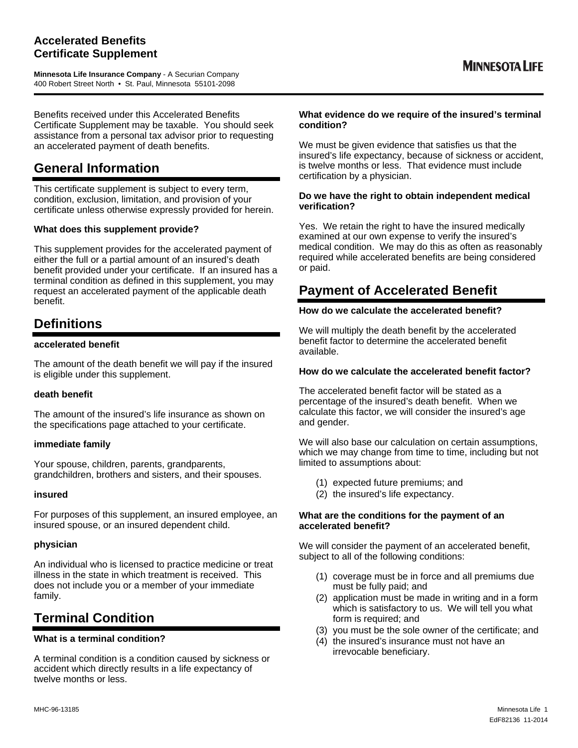### **Accelerated Benefits Certificate Supplement**

**Minnesota Life Insurance Company** - A Securian Company 400 Robert Street North • St. Paul, Minnesota 55101-2098

Benefits received under this Accelerated Benefits Certificate Supplement may be taxable. You should seek assistance from a personal tax advisor prior to requesting an accelerated payment of death benefits.

# **General Information**

This certificate supplement is subject to every term, condition, exclusion, limitation, and provision of your certificate unless otherwise expressly provided for herein.

#### **What does this supplement provide?**

This supplement provides for the accelerated payment of either the full or a partial amount of an insured's death benefit provided under your certificate. If an insured has a terminal condition as defined in this supplement, you may request an accelerated payment of the applicable death benefit.

# **Definitions**

#### **accelerated benefit**

The amount of the death benefit we will pay if the insured is eligible under this supplement.

#### **death benefit**

The amount of the insured's life insurance as shown on the specifications page attached to your certificate.

#### **immediate family**

Your spouse, children, parents, grandparents, grandchildren, brothers and sisters, and their spouses.

#### **insured**

For purposes of this supplement, an insured employee, an insured spouse, or an insured dependent child.

#### **physician**

An individual who is licensed to practice medicine or treat illness in the state in which treatment is received. This does not include you or a member of your immediate family.

# **Terminal Condition**

#### **What is a terminal condition?**

A terminal condition is a condition caused by sickness or accident which directly results in a life expectancy of twelve months or less.

#### **What evidence do we require of the insured's terminal condition?**

We must be given evidence that satisfies us that the insured's life expectancy, because of sickness or accident, is twelve months or less. That evidence must include certification by a physician.

#### **Do we have the right to obtain independent medical verification?**

Yes. We retain the right to have the insured medically examined at our own expense to verify the insured's medical condition. We may do this as often as reasonably required while accelerated benefits are being considered or paid.

# **Payment of Accelerated Benefit**

#### **How do we calculate the accelerated benefit?**

We will multiply the death benefit by the accelerated benefit factor to determine the accelerated benefit available.

#### **How do we calculate the accelerated benefit factor?**

The accelerated benefit factor will be stated as a percentage of the insured's death benefit. When we calculate this factor, we will consider the insured's age and gender.

We will also base our calculation on certain assumptions, which we may change from time to time, including but not limited to assumptions about:

- (1) expected future premiums; and
- (2) the insured's life expectancy.

#### **What are the conditions for the payment of an accelerated benefit?**

We will consider the payment of an accelerated benefit, subject to all of the following conditions:

- (1) coverage must be in force and all premiums due must be fully paid; and
- (2) application must be made in writing and in a form which is satisfactory to us. We will tell you what form is required; and
- (3) you must be the sole owner of the certificate; and
- (4) the insured's insurance must not have an irrevocable beneficiary.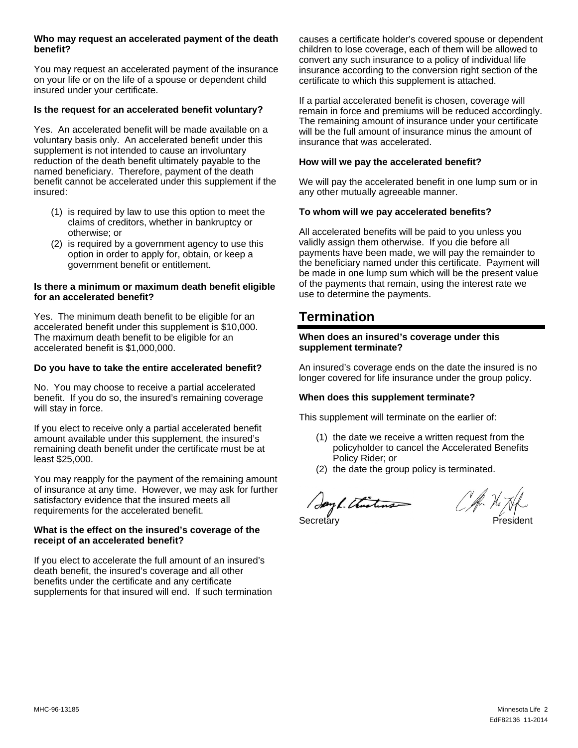#### **Who may request an accelerated payment of the death benefit?**

You may request an accelerated payment of the insurance on your life or on the life of a spouse or dependent child insured under your certificate.

#### **Is the request for an accelerated benefit voluntary?**

Yes. An accelerated benefit will be made available on a voluntary basis only. An accelerated benefit under this supplement is not intended to cause an involuntary reduction of the death benefit ultimately payable to the named beneficiary. Therefore, payment of the death benefit cannot be accelerated under this supplement if the insured:

- (1) is required by law to use this option to meet the claims of creditors, whether in bankruptcy or otherwise; or
- (2) is required by a government agency to use this option in order to apply for, obtain, or keep a government benefit or entitlement.

#### **Is there a minimum or maximum death benefit eligible for an accelerated benefit?**

Yes. The minimum death benefit to be eligible for an accelerated benefit under this supplement is \$10,000. The maximum death benefit to be eligible for an accelerated benefit is \$1,000,000.

#### **Do you have to take the entire accelerated benefit?**

No. You may choose to receive a partial accelerated benefit. If you do so, the insured's remaining coverage will stay in force.

If you elect to receive only a partial accelerated benefit amount available under this supplement, the insured's remaining death benefit under the certificate must be at least \$25,000.

You may reapply for the payment of the remaining amount of insurance at any time. However, we may ask for further satisfactory evidence that the insured meets all requirements for the accelerated benefit.

#### **What is the effect on the insured's coverage of the receipt of an accelerated benefit?**

If you elect to accelerate the full amount of an insured's death benefit, the insured's coverage and all other benefits under the certificate and any certificate supplements for that insured will end. If such termination causes a certificate holder's covered spouse or dependent children to lose coverage, each of them will be allowed to convert any such insurance to a policy of individual life insurance according to the conversion right section of the certificate to which this supplement is attached.

If a partial accelerated benefit is chosen, coverage will remain in force and premiums will be reduced accordingly. The remaining amount of insurance under your certificate will be the full amount of insurance minus the amount of insurance that was accelerated.

#### **How will we pay the accelerated benefit?**

We will pay the accelerated benefit in one lump sum or in any other mutually agreeable manner.

#### **To whom will we pay accelerated benefits?**

All accelerated benefits will be paid to you unless you validly assign them otherwise. If you die before all payments have been made, we will pay the remainder to the beneficiary named under this certificate. Payment will be made in one lump sum which will be the present value of the payments that remain, using the interest rate we use to determine the payments.

# **Termination**

#### **When does an insured's coverage under this supplement terminate?**

An insured's coverage ends on the date the insured is no longer covered for life insurance under the group policy.

#### **When does this supplement terminate?**

This supplement will terminate on the earlier of:

- (1) the date we receive a written request from the policyholder to cancel the Accelerated Benefits Policy Rider; or
- (2) the date the group policy is terminated.

Say L. Thisting

Mon Hi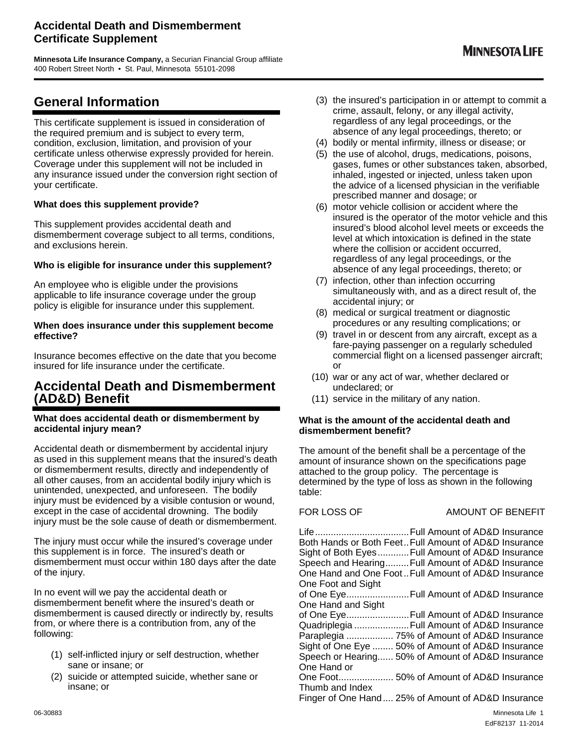### **Accidental Death and Dismemberment Certificate Supplement**

**Minnesota Life Insurance Company,** a Securian Financial Group affiliate 400 Robert Street North • St. Paul, Minnesota 55101-2098

# **General Information**

This certificate supplement is issued in consideration of the required premium and is subject to every term, condition, exclusion, limitation, and provision of your certificate unless otherwise expressly provided for herein. Coverage under this supplement will not be included in any insurance issued under the conversion right section of your certificate.

#### **What does this supplement provide?**

This supplement provides accidental death and dismemberment coverage subject to all terms, conditions, and exclusions herein.

#### **Who is eligible for insurance under this supplement?**

An employee who is eligible under the provisions applicable to life insurance coverage under the group policy is eligible for insurance under this supplement.

#### **When does insurance under this supplement become effective?**

Insurance becomes effective on the date that you become insured for life insurance under the certificate.

# **Accidental Death and Dismemberment (AD&D) Benefit**

#### **What does accidental death or dismemberment by accidental injury mean?**

Accidental death or dismemberment by accidental injury as used in this supplement means that the insured's death or dismemberment results, directly and independently of all other causes, from an accidental bodily injury which is unintended, unexpected, and unforeseen. The bodily injury must be evidenced by a visible contusion or wound, except in the case of accidental drowning. The bodily injury must be the sole cause of death or dismemberment.

The injury must occur while the insured's coverage under this supplement is in force. The insured's death or dismemberment must occur within 180 days after the date of the injury.

In no event will we pay the accidental death or dismemberment benefit where the insured's death or dismemberment is caused directly or indirectly by, results from, or where there is a contribution from, any of the following:

- (1) self-inflicted injury or self destruction, whether sane or insane; or
- (2) suicide or attempted suicide, whether sane or insane; or
- (3) the insured's participation in or attempt to commit a crime, assault, felony, or any illegal activity, regardless of any legal proceedings, or the absence of any legal proceedings, thereto; or
- (4) bodily or mental infirmity, illness or disease; or
- (5) the use of alcohol, drugs, medications, poisons, gases, fumes or other substances taken, absorbed, inhaled, ingested or injected, unless taken upon the advice of a licensed physician in the verifiable prescribed manner and dosage; or
- (6) motor vehicle collision or accident where the insured is the operator of the motor vehicle and this insured's blood alcohol level meets or exceeds the level at which intoxication is defined in the state where the collision or accident occurred, regardless of any legal proceedings, or the absence of any legal proceedings, thereto; or
- (7) infection, other than infection occurring simultaneously with, and as a direct result of, the accidental injury; or
- (8) medical or surgical treatment or diagnostic procedures or any resulting complications; or
- (9) travel in or descent from any aircraft, except as a fare-paying passenger on a regularly scheduled commercial flight on a licensed passenger aircraft; or
- (10) war or any act of war, whether declared or undeclared; or
- (11) service in the military of any nation.

#### **What is the amount of the accidental death and dismemberment benefit?**

The amount of the benefit shall be a percentage of the amount of insurance shown on the specifications page attached to the group policy. The percentage is determined by the type of loss as shown in the following table:

### FOR LOSS OF AMOUNT OF BENEFIT

06-30883 Minnesota Life 1 Life .................................... Full Amount of AD&D Insurance Both Hands or Both Feet .. Full Amount of AD&D Insurance Sight of Both Eyes ............ Full Amount of AD&D Insurance Speech and Hearing ......... Full Amount of AD&D Insurance One Hand and One Foot .. Full Amount of AD&D Insurance One Foot and Sight of One Eye ........................ Full Amount of AD&D Insurance One Hand and Sight of One Eye ........................ Full Amount of AD&D Insurance Quadriplegia ..................... Full Amount of AD&D Insurance Paraplegia .................. 75% of Amount of AD&D Insurance Sight of One Eye ........ 50% of Amount of AD&D Insurance Speech or Hearing...... 50% of Amount of AD&D Insurance One Hand or One Foot ..................... 50% of Amount of AD&D Insurance Thumb and Index Finger of One Hand .... 25% of Amount of AD&D Insurance

EdF82137 11-2014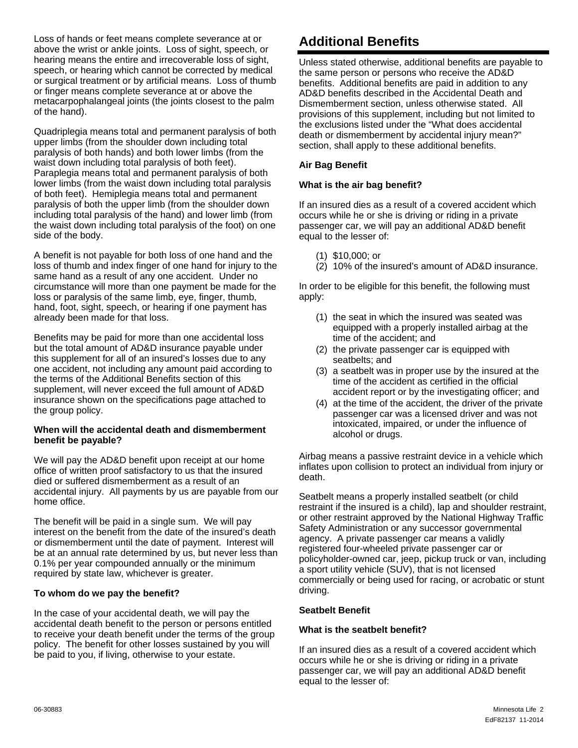Loss of hands or feet means complete severance at or above the wrist or ankle joints. Loss of sight, speech, or hearing means the entire and irrecoverable loss of sight, speech, or hearing which cannot be corrected by medical or surgical treatment or by artificial means. Loss of thumb or finger means complete severance at or above the metacarpophalangeal joints (the joints closest to the palm of the hand).

Quadriplegia means total and permanent paralysis of both upper limbs (from the shoulder down including total paralysis of both hands) and both lower limbs (from the waist down including total paralysis of both feet). Paraplegia means total and permanent paralysis of both lower limbs (from the waist down including total paralysis of both feet). Hemiplegia means total and permanent paralysis of both the upper limb (from the shoulder down including total paralysis of the hand) and lower limb (from the waist down including total paralysis of the foot) on one side of the body.

A benefit is not payable for both loss of one hand and the loss of thumb and index finger of one hand for injury to the same hand as a result of any one accident. Under no circumstance will more than one payment be made for the loss or paralysis of the same limb, eye, finger, thumb, hand, foot, sight, speech, or hearing if one payment has already been made for that loss.

Benefits may be paid for more than one accidental loss but the total amount of AD&D insurance payable under this supplement for all of an insured's losses due to any one accident, not including any amount paid according to the terms of the Additional Benefits section of this supplement, will never exceed the full amount of AD&D insurance shown on the specifications page attached to the group policy.

#### **When will the accidental death and dismemberment benefit be payable?**

We will pay the AD&D benefit upon receipt at our home office of written proof satisfactory to us that the insured died or suffered dismemberment as a result of an accidental injury. All payments by us are payable from our home office.

The benefit will be paid in a single sum. We will pay interest on the benefit from the date of the insured's death or dismemberment until the date of payment. Interest will be at an annual rate determined by us, but never less than 0.1% per year compounded annually or the minimum required by state law, whichever is greater.

#### **To whom do we pay the benefit?**

In the case of your accidental death, we will pay the accidental death benefit to the person or persons entitled to receive your death benefit under the terms of the group policy. The benefit for other losses sustained by you will be paid to you, if living, otherwise to your estate.

# **Additional Benefits**

Unless stated otherwise, additional benefits are payable to the same person or persons who receive the AD&D benefits. Additional benefits are paid in addition to any AD&D benefits described in the Accidental Death and Dismemberment section, unless otherwise stated. All provisions of this supplement, including but not limited to the exclusions listed under the "What does accidental death or dismemberment by accidental injury mean?" section, shall apply to these additional benefits.

#### **Air Bag Benefit**

#### **What is the air bag benefit?**

If an insured dies as a result of a covered accident which occurs while he or she is driving or riding in a private passenger car, we will pay an additional AD&D benefit equal to the lesser of:

- (1) \$10,000; or
- (2) 10% of the insured's amount of AD&D insurance.

In order to be eligible for this benefit, the following must apply:

- (1) the seat in which the insured was seated was equipped with a properly installed airbag at the time of the accident; and
- (2) the private passenger car is equipped with seatbelts; and
- (3) a seatbelt was in proper use by the insured at the time of the accident as certified in the official accident report or by the investigating officer; and
- (4) at the time of the accident, the driver of the private passenger car was a licensed driver and was not intoxicated, impaired, or under the influence of alcohol or drugs.

Airbag means a passive restraint device in a vehicle which inflates upon collision to protect an individual from injury or death.

Seatbelt means a properly installed seatbelt (or child restraint if the insured is a child), lap and shoulder restraint, or other restraint approved by the National Highway Traffic Safety Administration or any successor governmental agency. A private passenger car means a validly registered four-wheeled private passenger car or policyholder-owned car, jeep, pickup truck or van, including a sport utility vehicle (SUV), that is not licensed commercially or being used for racing, or acrobatic or stunt driving.

#### **Seatbelt Benefit**

#### **What is the seatbelt benefit?**

If an insured dies as a result of a covered accident which occurs while he or she is driving or riding in a private passenger car, we will pay an additional AD&D benefit equal to the lesser of: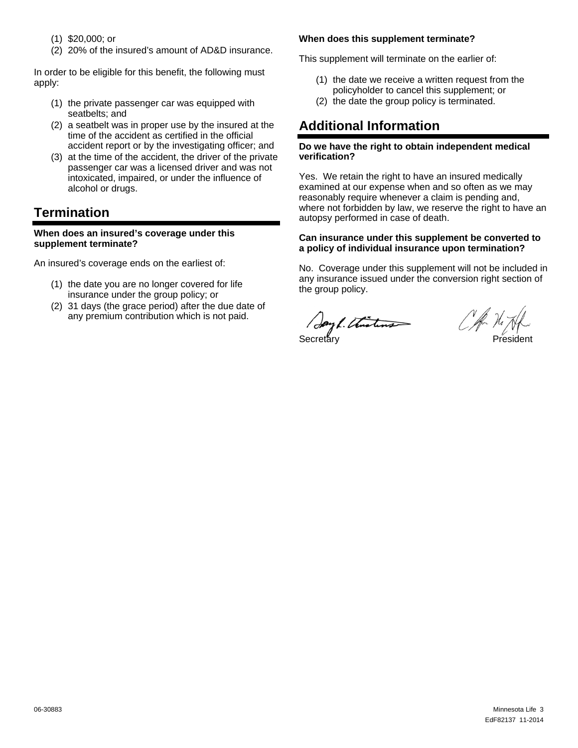- (1) \$20,000; or
- (2) 20% of the insured's amount of AD&D insurance.

In order to be eligible for this benefit, the following must apply:

- (1) the private passenger car was equipped with seatbelts; and
- (2) a seatbelt was in proper use by the insured at the time of the accident as certified in the official accident report or by the investigating officer; and
- (3) at the time of the accident, the driver of the private passenger car was a licensed driver and was not intoxicated, impaired, or under the influence of alcohol or drugs.

# **Termination**

#### **When does an insured's coverage under this supplement terminate?**

An insured's coverage ends on the earliest of:

- (1) the date you are no longer covered for life insurance under the group policy; or
- (2) 31 days (the grace period) after the due date of any premium contribution which is not paid.

#### **When does this supplement terminate?**

This supplement will terminate on the earlier of:

- (1) the date we receive a written request from the policyholder to cancel this supplement; or
- (2) the date the group policy is terminated.

# **Additional Information**

#### **Do we have the right to obtain independent medical verification?**

Yes. We retain the right to have an insured medically examined at our expense when and so often as we may reasonably require whenever a claim is pending and, where not forbidden by law, we reserve the right to have an autopsy performed in case of death.

#### **Can insurance under this supplement be converted to a policy of individual insurance upon termination?**

No. Coverage under this supplement will not be included in any insurance issued under the conversion right section of the group policy.

Secretary **President**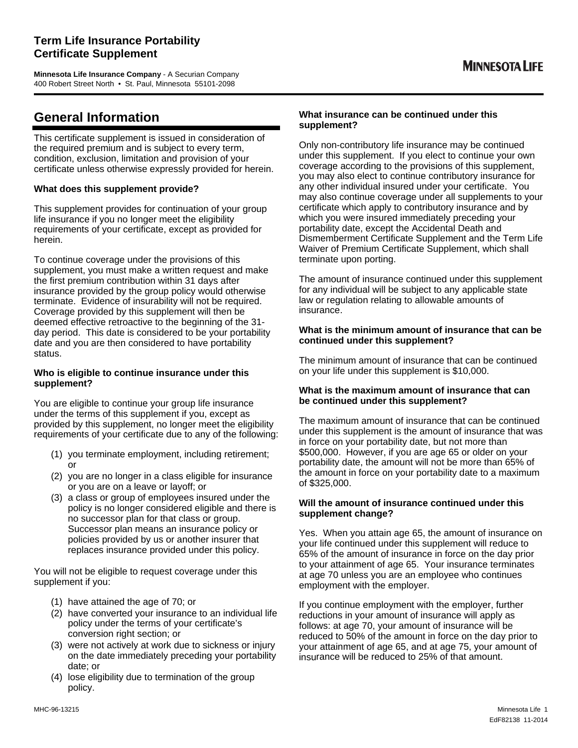**Minnesota Life Insurance Company** - A Securian Company 400 Robert Street North • St. Paul, Minnesota 55101-2098

# **General Information**

This certificate supplement is issued in consideration of the required premium and is subject to every term, condition, exclusion, limitation and provision of your certificate unless otherwise expressly provided for herein.

#### **What does this supplement provide?**

This supplement provides for continuation of your group life insurance if you no longer meet the eligibility requirements of your certificate, except as provided for herein.

To continue coverage under the provisions of this supplement, you must make a written request and make the first premium contribution within 31 days after insurance provided by the group policy would otherwise terminate. Evidence of insurability will not be required. Coverage provided by this supplement will then be deemed effective retroactive to the beginning of the 31 day period. This date is considered to be your portability date and you are then considered to have portability status.

#### **Who is eligible to continue insurance under this supplement?**

You are eligible to continue your group life insurance under the terms of this supplement if you, except as provided by this supplement, no longer meet the eligibility requirements of your certificate due to any of the following:

- (1) you terminate employment, including retirement; or
- (2) you are no longer in a class eligible for insurance or you are on a leave or layoff; or
- (3) a class or group of employees insured under the policy is no longer considered eligible and there is no successor plan for that class or group. Successor plan means an insurance policy or policies provided by us or another insurer that replaces insurance provided under this policy.

You will not be eligible to request coverage under this supplement if you:

- (1) have attained the age of 70; or
- (2) have converted your insurance to an individual life policy under the terms of your certificate's conversion right section; or
- (3) were not actively at work due to sickness or injury on the date immediately preceding your portability date; or
- (4) lose eligibility due to termination of the group policy.

#### **What insurance can be continued under this supplement?**

Only non-contributory life insurance may be continued under this supplement. If you elect to continue your own coverage according to the provisions of this supplement, you may also elect to continue contributory insurance for any other individual insured under your certificate. You may also continue coverage under all supplements to your certificate which apply to contributory insurance and by which you were insured immediately preceding your portability date, except the Accidental Death and Dismemberment Certificate Supplement and the Term Life Waiver of Premium Certificate Supplement, which shall terminate upon porting.

The amount of insurance continued under this supplement for any individual will be subject to any applicable state law or regulation relating to allowable amounts of insurance.

#### **What is the minimum amount of insurance that can be continued under this supplement?**

The minimum amount of insurance that can be continued on your life under this supplement is \$10,000.

#### **What is the maximum amount of insurance that can be continued under this supplement?**

The maximum amount of insurance that can be continued under this supplement is the amount of insurance that was in force on your portability date, but not more than \$500,000. However, if you are age 65 or older on your portability date, the amount will not be more than 65% of the amount in force on your portability date to a maximum of \$325,000.

#### **Will the amount of insurance continued under this supplement change?**

Yes. When you attain age 65, the amount of insurance on your life continued under this supplement will reduce to 65% of the amount of insurance in force on the day prior to your attainment of age 65. Your insurance terminates at age 70 unless you are an employee who continues employment with the employer.

If you continue employment with the employer, further reductions in your amount of insurance will apply as follows: at age 70, your amount of insurance will be reduced to 50% of the amount in force on the day prior to your attainment of age 65, and at age 75, your amount of insurance will be reduced to 25% of that amount.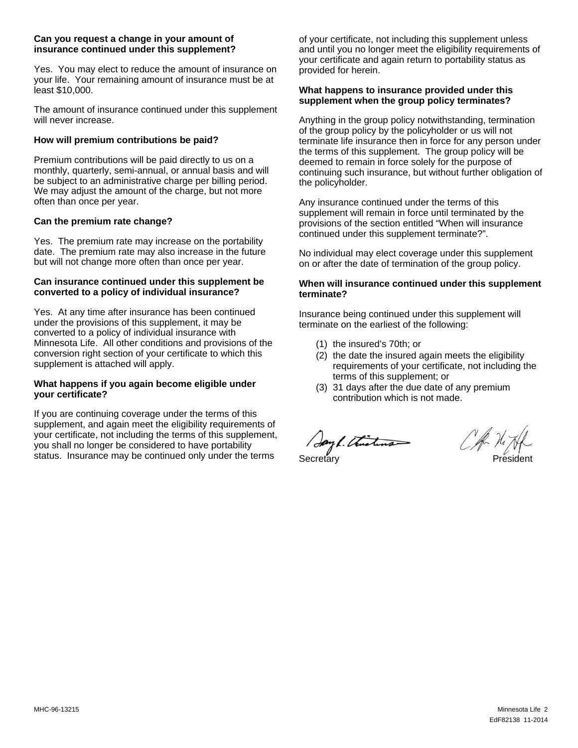#### **Can you request a change in your amount of insurance continued under this supplement?**

Yes. You may elect to reduce the amount of insurance on your life. Your remaining amount of insurance must be at least \$10,000.

The amount of insurance continued under this supplement will never increase.

#### **How will premium contributions be paid?**

Premium contributions will be paid directly to us on a monthly, quarterly, semi-annual, or annual basis and will be subject to an administrative charge per billing period. We may adjust the amount of the charge, but not more often than once per year.

#### **Can the premium rate change?**

Yes. The premium rate may increase on the portability date. The premium rate may also increase in the future but will not change more often than once per year.

#### **Can insurance continued under this supplement be converted to a policy of individual insurance?**

Yes. At any time after insurance has been continued under the provisions of this supplement, it may be converted to a policy of individual insurance with Minnesota Life. All other conditions and provisions of the conversion right section of your certificate to which this supplement is attached will apply.

#### **What happens if you again become eligible under your certificate?**

If you are continuing coverage under the terms of this supplement, and again meet the eligibility requirements of your certificate, not including the terms of this supplement, you shall no longer be considered to have portability status. Insurance may be continued only under the terms

of your certificate, not including this supplement unless and until you no longer meet the eligibility requirements of your certificate and again return to portability status as provided for herein.

#### **What happens to insurance provided under this supplement when the group policy terminates?**

Anything in the group policy notwithstanding, termination of the group policy by the policyholder or us will not terminate life insurance then in force for any person under the terms of this supplement. The group policy will be deemed to remain in force solely for the purpose of continuing such insurance, but without further obligation of the policyholder.

Any insurance continued under the terms of this supplement will remain in force until terminated by the provisions of the section entitled "When will insurance continued under this supplement terminate?".

No individual may elect coverage under this supplement on or after the date of termination of the group policy.

#### **When will insurance continued under this supplement terminate?**

Insurance being continued under this supplement will terminate on the earliest of the following:

- (1) the insured's 70th; or
- (2) the date the insured again meets the eligibility requirements of your certificate, not including the terms of this supplement; or
- (3) 31 days after the due date of any premium contribution which is not made.

Jay 1. Thustung Secretary President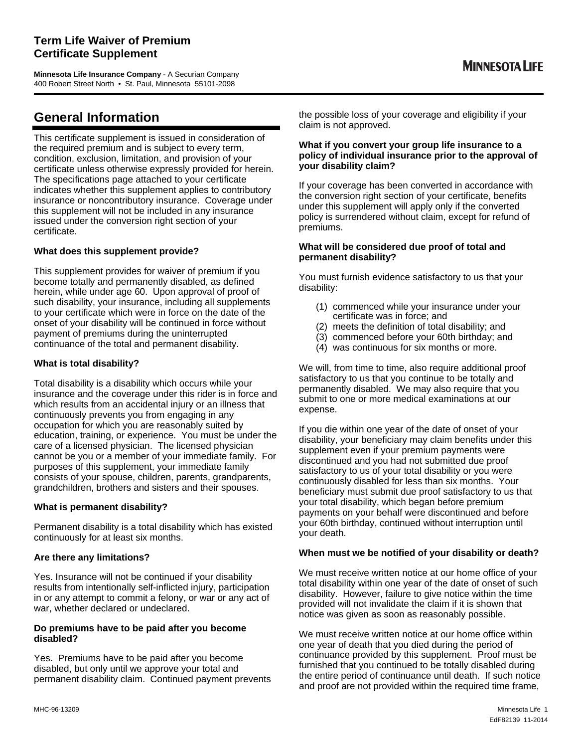### **Term Life Waiver of Premium Certificate Supplement**

**Minnesota Life Insurance Company** - A Securian Company 400 Robert Street North • St. Paul, Minnesota 55101-2098

# **General Information**

This certificate supplement is issued in consideration of the required premium and is subject to every term, condition, exclusion, limitation, and provision of your certificate unless otherwise expressly provided for herein. The specifications page attached to your certificate indicates whether this supplement applies to contributory insurance or noncontributory insurance. Coverage under this supplement will not be included in any insurance issued under the conversion right section of your certificate.

#### **What does this supplement provide?**

This supplement provides for waiver of premium if you become totally and permanently disabled, as defined herein, while under age 60. Upon approval of proof of such disability, your insurance, including all supplements to your certificate which were in force on the date of the onset of your disability will be continued in force without payment of premiums during the uninterrupted continuance of the total and permanent disability.

#### **What is total disability?**

Total disability is a disability which occurs while your insurance and the coverage under this rider is in force and which results from an accidental injury or an illness that continuously prevents you from engaging in any occupation for which you are reasonably suited by education, training, or experience. You must be under the care of a licensed physician. The licensed physician cannot be you or a member of your immediate family. For purposes of this supplement, your immediate family consists of your spouse, children, parents, grandparents, grandchildren, brothers and sisters and their spouses.

#### **What is permanent disability?**

Permanent disability is a total disability which has existed continuously for at least six months.

#### **Are there any limitations?**

Yes. Insurance will not be continued if your disability results from intentionally self-inflicted injury, participation in or any attempt to commit a felony, or war or any act of war, whether declared or undeclared.

#### **Do premiums have to be paid after you become disabled?**

Yes. Premiums have to be paid after you become disabled, but only until we approve your total and permanent disability claim. Continued payment prevents the possible loss of your coverage and eligibility if your claim is not approved.

#### **What if you convert your group life insurance to a policy of individual insurance prior to the approval of your disability claim?**

If your coverage has been converted in accordance with the conversion right section of your certificate, benefits under this supplement will apply only if the converted policy is surrendered without claim, except for refund of premiums.

#### **What will be considered due proof of total and permanent disability?**

You must furnish evidence satisfactory to us that your disability:

- (1) commenced while your insurance under your certificate was in force; and
- (2) meets the definition of total disability; and
- (3) commenced before your 60th birthday; and
- (4) was continuous for six months or more.

We will, from time to time, also require additional proof satisfactory to us that you continue to be totally and permanently disabled. We may also require that you submit to one or more medical examinations at our expense.

If you die within one year of the date of onset of your disability, your beneficiary may claim benefits under this supplement even if your premium payments were discontinued and you had not submitted due proof satisfactory to us of your total disability or you were continuously disabled for less than six months. Your beneficiary must submit due proof satisfactory to us that your total disability, which began before premium payments on your behalf were discontinued and before your 60th birthday, continued without interruption until your death.

#### **When must we be notified of your disability or death?**

We must receive written notice at our home office of your total disability within one year of the date of onset of such disability. However, failure to give notice within the time provided will not invalidate the claim if it is shown that notice was given as soon as reasonably possible.

We must receive written notice at our home office within one year of death that you died during the period of continuance provided by this supplement. Proof must be furnished that you continued to be totally disabled during the entire period of continuance until death. If such notice and proof are not provided within the required time frame,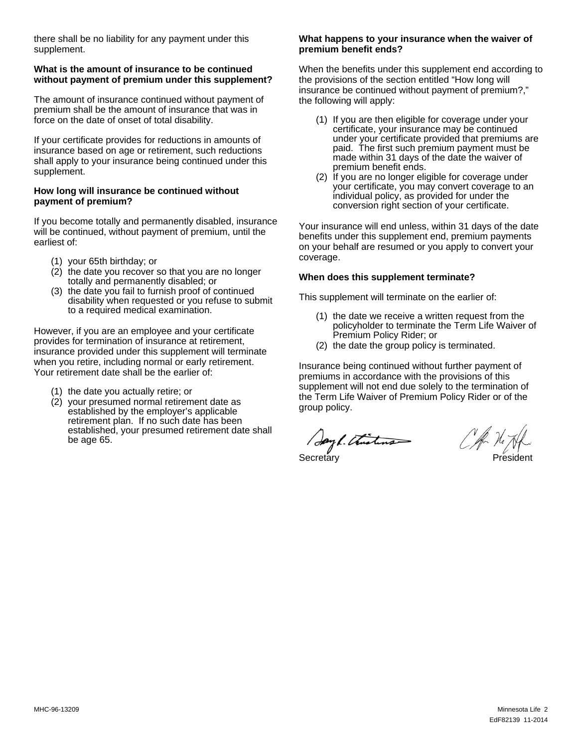there shall be no liability for any payment under this supplement.

#### **What is the amount of insurance to be continued without payment of premium under this supplement?**

The amount of insurance continued without payment of premium shall be the amount of insurance that was in force on the date of onset of total disability.

If your certificate provides for reductions in amounts of insurance based on age or retirement, such reductions shall apply to your insurance being continued under this supplement.

#### **How long will insurance be continued without payment of premium?**

If you become totally and permanently disabled, insurance will be continued, without payment of premium, until the earliest of:

- (1) your 65th birthday; or
- (2) the date you recover so that you are no longer totally and permanently disabled; or
- (3) the date you fail to furnish proof of continued disability when requested or you refuse to submit to a required medical examination.

However, if you are an employee and your certificate provides for termination of insurance at retirement, insurance provided under this supplement will terminate when you retire, including normal or early retirement. Your retirement date shall be the earlier of:

- (1) the date you actually retire; or
- (2) your presumed normal retirement date as established by the employer's applicable retirement plan. If no such date has been established, your presumed retirement date shall be age 65.

#### **What happens to your insurance when the waiver of premium benefit ends?**

When the benefits under this supplement end according to the provisions of the section entitled "How long will insurance be continued without payment of premium?," the following will apply:

- (1) If you are then eligible for coverage under your certificate, your insurance may be continued under your certificate provided that premiums are paid. The first such premium payment must be made within 31 days of the date the waiver of premium benefit ends.
- (2) If you are no longer eligible for coverage under your certificate, you may convert coverage to an individual policy, as provided for under the conversion right section of your certificate.

Your insurance will end unless, within 31 days of the date benefits under this supplement end, premium payments on your behalf are resumed or you apply to convert your coverage.

#### **When does this supplement terminate?**

This supplement will terminate on the earlier of:

- (1) the date we receive a written request from the policyholder to terminate the Term Life Waiver of Premium Policy Rider; or
- (2) the date the group policy is terminated.

Insurance being continued without further payment of premiums in accordance with the provisions of this supplement will not end due solely to the termination of the Term Life Waiver of Premium Policy Rider or of the group policy.

Secretary President